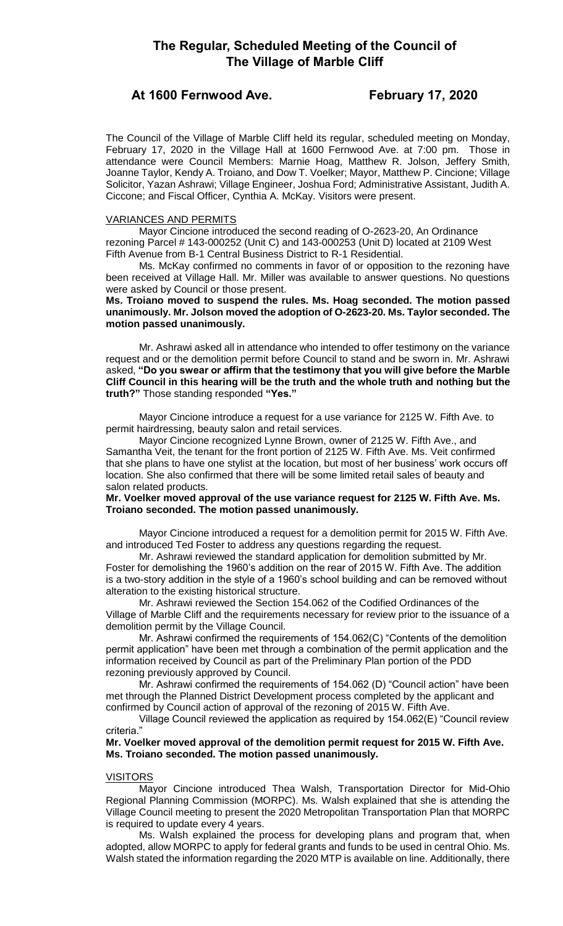# **At 1600 Fernwood Ave. February 17, 2020**

The Council of the Village of Marble Cliff held its regular, scheduled meeting on Monday, February 17, 2020 in the Village Hall at 1600 Fernwood Ave. at 7:00 pm. Those in attendance were Council Members: Marnie Hoag, Matthew R. Jolson, Jeffery Smith, Joanne Taylor, Kendy A. Troiano, and Dow T. Voelker; Mayor, Matthew P. Cincione; Village Solicitor, Yazan Ashrawi; Village Engineer, Joshua Ford; Administrative Assistant, Judith A. Ciccone; and Fiscal Officer, Cynthia A. McKay. Visitors were present.

# VARIANCES AND PERMITS

Mayor Cincione introduced the second reading of O-2623-20, An Ordinance rezoning Parcel # 143-000252 (Unit C) and 143-000253 (Unit D) located at 2109 West Fifth Avenue from B-1 Central Business District to R-1 Residential.

Ms. McKay confirmed no comments in favor of or opposition to the rezoning have been received at Village Hall. Mr. Miller was available to answer questions. No questions were asked by Council or those present.

# **Ms. Troiano moved to suspend the rules. Ms. Hoag seconded. The motion passed unanimously. Mr. Jolson moved the adoption of O-2623-20. Ms. Taylor seconded. The motion passed unanimously.**

Mr. Ashrawi asked all in attendance who intended to offer testimony on the variance request and or the demolition permit before Council to stand and be sworn in. Mr. Ashrawi asked, **"Do you swear or affirm that the testimony that you will give before the Marble Cliff Council in this hearing will be the truth and the whole truth and nothing but the truth?"** Those standing responded **"Yes."**

Mayor Cincione introduce a request for a use variance for 2125 W. Fifth Ave. to permit hairdressing, beauty salon and retail services.

Mayor Cincione recognized Lynne Brown, owner of 2125 W. Fifth Ave., and Samantha Veit, the tenant for the front portion of 2125 W. Fifth Ave. Ms. Veit confirmed that she plans to have one stylist at the location, but most of her business' work occurs off location. She also confirmed that there will be some limited retail sales of beauty and salon related products.

# **Mr. Voelker moved approval of the use variance request for 2125 W. Fifth Ave. Ms. Troiano seconded. The motion passed unanimously.**

Mayor Cincione introduced a request for a demolition permit for 2015 W. Fifth Ave. and introduced Ted Foster to address any questions regarding the request.

Mr. Ashrawi reviewed the standard application for demolition submitted by Mr. Foster for demolishing the 1960's addition on the rear of 2015 W. Fifth Ave. The addition is a two-story addition in the style of a 1960's school building and can be removed without alteration to the existing historical structure.

Mr. Ashrawi reviewed the Section 154.062 of the Codified Ordinances of the Village of Marble Cliff and the requirements necessary for review prior to the issuance of a demolition permit by the Village Council.

Mr. Ashrawi confirmed the requirements of 154.062(C) "Contents of the demolition permit application" have been met through a combination of the permit application and the information received by Council as part of the Preliminary Plan portion of the PDD rezoning previously approved by Council.

Mr. Ashrawi confirmed the requirements of 154.062 (D) "Council action" have been met through the Planned District Development process completed by the applicant and confirmed by Council action of approval of the rezoning of 2015 W. Fifth Ave.

Village Council reviewed the application as required by 154.062(E) "Council review criteria."

# **Mr. Voelker moved approval of the demolition permit request for 2015 W. Fifth Ave. Ms. Troiano seconded. The motion passed unanimously.**

# VISITORS

Mayor Cincione introduced Thea Walsh, Transportation Director for Mid-Ohio Regional Planning Commission (MORPC). Ms. Walsh explained that she is attending the Village Council meeting to present the 2020 Metropolitan Transportation Plan that MORPC is required to update every 4 years.

Ms. Walsh explained the process for developing plans and program that, when adopted, allow MORPC to apply for federal grants and funds to be used in central Ohio. Ms. Walsh stated the information regarding the 2020 MTP is available on line. Additionally, there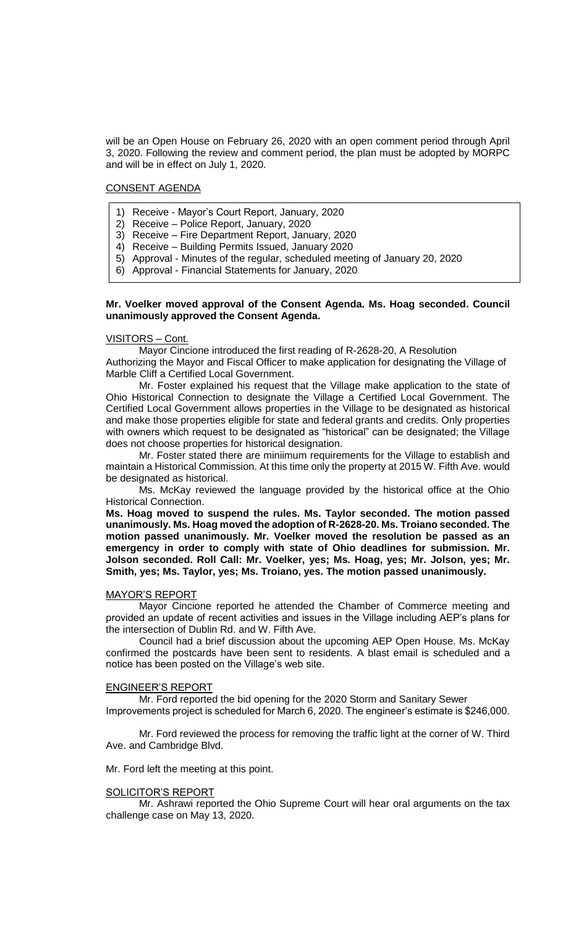will be an Open House on February 26, 2020 with an open comment period through April 3, 2020. Following the review and comment period, the plan must be adopted by MORPC and will be in effect on July 1, 2020.

# CONSENT AGENDA

- 1) Receive Mayor's Court Report, January, 2020
- 2) Receive Police Report, January, 2020
- 3) Receive Fire Department Report, January, 2020
- 4) Receive Building Permits Issued, January 2020
- 5) Approval Minutes of the regular, scheduled meeting of January 20, 2020
- 6) Approval Financial Statements for January, 2020

### **Mr. Voelker moved approval of the Consent Agenda. Ms. Hoag seconded. Council unanimously approved the Consent Agenda.**

# VISITORS – Cont.

Mayor Cincione introduced the first reading of R-2628-20, A Resolution

Authorizing the Mayor and Fiscal Officer to make application for designating the Village of Marble Cliff a Certified Local Government.

Mr. Foster explained his request that the Village make application to the state of Ohio Historical Connection to designate the Village a Certified Local Government. The Certified Local Government allows properties in the Village to be designated as historical and make those properties eligible for state and federal grants and credits. Only properties with owners which request to be designated as "historical" can be designated; the Village does not choose properties for historical designation.

Mr. Foster stated there are miniimum requirements for the Village to establish and maintain a Historical Commission. At this time only the property at 2015 W. Fifth Ave. would be designated as historical.

Ms. McKay reviewed the language provided by the historical office at the Ohio Historical Connection.

**Ms. Hoag moved to suspend the rules. Ms. Taylor seconded. The motion passed unanimously. Ms. Hoag moved the adoption of R-2628-20. Ms. Troiano seconded. The motion passed unanimously. Mr. Voelker moved the resolution be passed as an emergency in order to comply with state of Ohio deadlines for submission. Mr. Jolson seconded. Roll Call: Mr. Voelker, yes; Ms. Hoag, yes; Mr. Jolson, yes; Mr. Smith, yes; Ms. Taylor, yes; Ms. Troiano, yes. The motion passed unanimously.**

#### MAYOR'S REPORT

Mayor Cincione reported he attended the Chamber of Commerce meeting and provided an update of recent activities and issues in the Village including AEP's plans for the intersection of Dublin Rd. and W. Fifth Ave.

Council had a brief discussion about the upcoming AEP Open House. Ms. McKay confirmed the postcards have been sent to residents. A blast email is scheduled and a notice has been posted on the Village's web site.

#### ENGINEER'S REPORT

Mr. Ford reported the bid opening for the 2020 Storm and Sanitary Sewer Improvements project is scheduled for March 6, 2020. The engineer's estimate is \$246,000.

Mr. Ford reviewed the process for removing the traffic light at the corner of W. Third Ave. and Cambridge Blvd.

Mr. Ford left the meeting at this point.

#### SOLICITOR'S REPORT

Mr. Ashrawi reported the Ohio Supreme Court will hear oral arguments on the tax challenge case on May 13, 2020.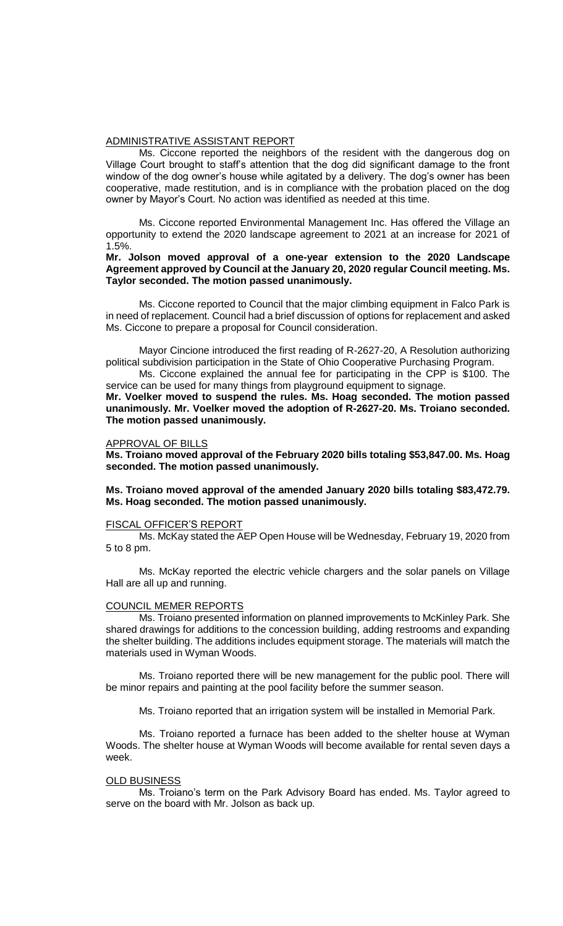### ADMINISTRATIVE ASSISTANT REPORT

Ms. Ciccone reported the neighbors of the resident with the dangerous dog on Village Court brought to staff's attention that the dog did significant damage to the front window of the dog owner's house while agitated by a delivery. The dog's owner has been cooperative, made restitution, and is in compliance with the probation placed on the dog owner by Mayor's Court. No action was identified as needed at this time.

Ms. Ciccone reported Environmental Management Inc. Has offered the Village an opportunity to extend the 2020 landscape agreement to 2021 at an increase for 2021 of 1.5%.

# **Mr. Jolson moved approval of a one-year extension to the 2020 Landscape Agreement approved by Council at the January 20, 2020 regular Council meeting. Ms. Taylor seconded. The motion passed unanimously.**

Ms. Ciccone reported to Council that the major climbing equipment in Falco Park is in need of replacement. Council had a brief discussion of options for replacement and asked Ms. Ciccone to prepare a proposal for Council consideration.

Mayor Cincione introduced the first reading of R-2627-20, A Resolution authorizing political subdivision participation in the State of Ohio Cooperative Purchasing Program.

Ms. Ciccone explained the annual fee for participating in the CPP is \$100. The service can be used for many things from playground equipment to signage.

**Mr. Voelker moved to suspend the rules. Ms. Hoag seconded. The motion passed unanimously. Mr. Voelker moved the adoption of R-2627-20. Ms. Troiano seconded. The motion passed unanimously.** 

#### APPROVAL OF BILLS

**Ms. Troiano moved approval of the February 2020 bills totaling \$53,847.00. Ms. Hoag seconded. The motion passed unanimously.**

**Ms. Troiano moved approval of the amended January 2020 bills totaling \$83,472.79. Ms. Hoag seconded. The motion passed unanimously.**

#### FISCAL OFFICER'S REPORT

Ms. McKay stated the AEP Open House will be Wednesday, February 19, 2020 from 5 to 8 pm.

Ms. McKay reported the electric vehicle chargers and the solar panels on Village Hall are all up and running.

#### COUNCIL MEMER REPORTS

Ms. Troiano presented information on planned improvements to McKinley Park. She shared drawings for additions to the concession building, adding restrooms and expanding the shelter building. The additions includes equipment storage. The materials will match the materials used in Wyman Woods.

Ms. Troiano reported there will be new management for the public pool. There will be minor repairs and painting at the pool facility before the summer season.

Ms. Troiano reported that an irrigation system will be installed in Memorial Park.

Ms. Troiano reported a furnace has been added to the shelter house at Wyman Woods. The shelter house at Wyman Woods will become available for rental seven days a week.

#### OLD BUSINESS

Ms. Troiano's term on the Park Advisory Board has ended. Ms. Taylor agreed to serve on the board with Mr. Jolson as back up.